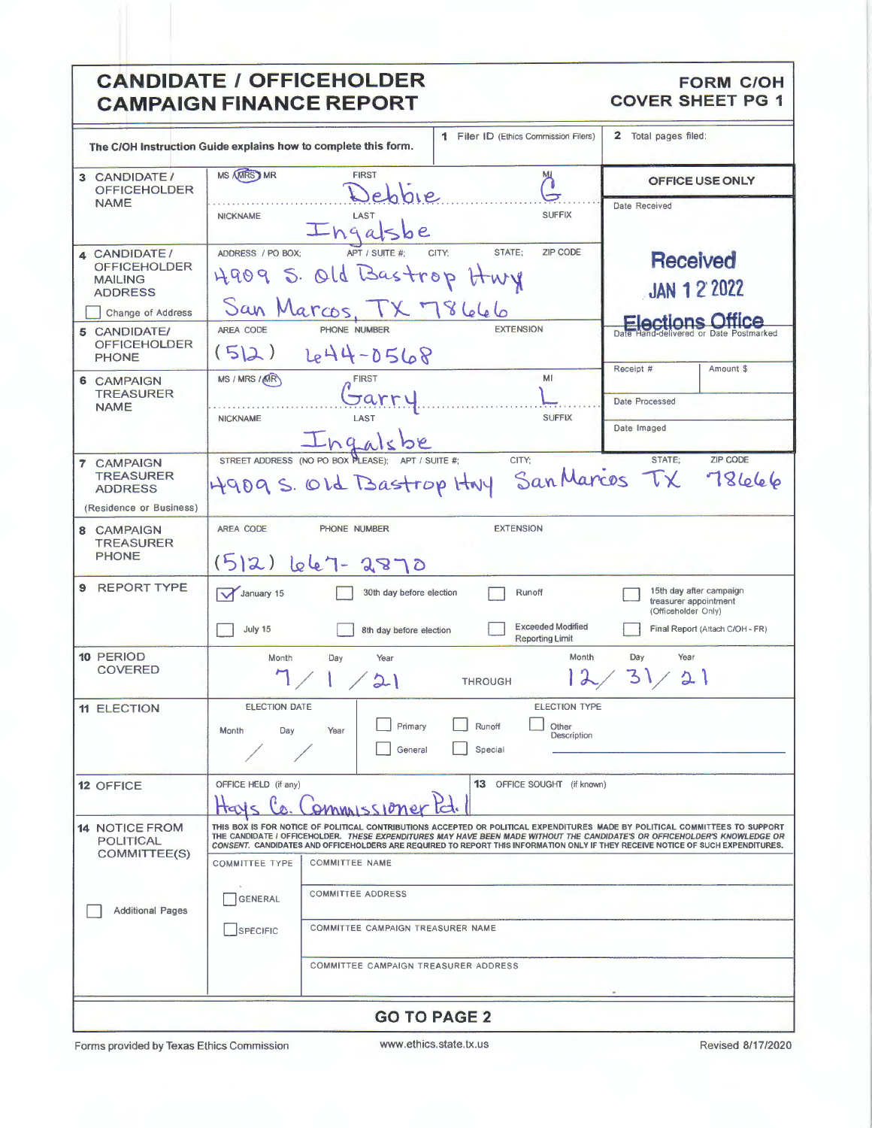| <b>CANDIDATE / OFFICEHOLDER</b><br><b>CAMPAIGN FINANCE REPORT</b>                                                   |                                                                                                                                                                                                                                                                                                                                                                                               |                                                    | <b>FORM C/OH</b><br><b>COVER SHEET PG 1</b>                             |                          |
|---------------------------------------------------------------------------------------------------------------------|-----------------------------------------------------------------------------------------------------------------------------------------------------------------------------------------------------------------------------------------------------------------------------------------------------------------------------------------------------------------------------------------------|----------------------------------------------------|-------------------------------------------------------------------------|--------------------------|
|                                                                                                                     |                                                                                                                                                                                                                                                                                                                                                                                               |                                                    |                                                                         |                          |
| 1 Filer ID (Ethics Commission Filers)<br>The C/OH Instruction Guide explains how to complete this form.             |                                                                                                                                                                                                                                                                                                                                                                                               | 2 Total pages filed:                               |                                                                         |                          |
| 3 CANDIDATE/<br><b>OFFICEHOLDER</b>                                                                                 | <b>MS AMRS AMR</b><br><b>FIRST</b><br>мц<br>Debbie                                                                                                                                                                                                                                                                                                                                            |                                                    | <b>OFFICE USE ONLY</b>                                                  |                          |
| <b>NAME</b>                                                                                                         | <b>NICKNAME</b><br>LAS1<br>Ingalsbe                                                                                                                                                                                                                                                                                                                                                           | <b>SUFFIX</b>                                      | Date Received                                                           |                          |
| 4 CANDIDATE/<br><b>OFFICEHOLDER</b><br><b>MAILING</b><br><b>ADDRESS</b><br>Change of Address<br><b>5 CANDIDATE/</b> | STATE:<br>ADDRESS / PO BOX:<br>APT / SUITE #:<br>CITY:<br>4909 S. Old Bastrop Hwy<br>San Marcos, TX 78666<br><b>EXTENSION</b><br>AREA CODE<br>PHONE NUMBER                                                                                                                                                                                                                                    | <b>ZIP CODE</b>                                    | <b>Received</b><br><b>JAN 12 2022</b><br>lections Office                |                          |
| <b>OFFICEHOLDER</b><br><b>PHONE</b>                                                                                 | (5 2)<br>644-0568                                                                                                                                                                                                                                                                                                                                                                             |                                                    | Receipt #                                                               | Amount \$                |
| 6 CAMPAIGN<br><b>TREASURER</b><br><b>NAME</b>                                                                       | MS / MRS / MR<br><b>FIRST</b><br>Jarr                                                                                                                                                                                                                                                                                                                                                         | MI                                                 | Date Processed                                                          |                          |
|                                                                                                                     | LAST<br><b>NICKNAME</b><br>Ingalsbe                                                                                                                                                                                                                                                                                                                                                           | <b>SUFFIX</b>                                      | Date Imaged                                                             |                          |
| 7 CAMPAIGN<br><b>TREASURER</b><br><b>ADDRESS</b>                                                                    | STREET ADDRESS (NO PO BOX PLEASE):<br>CITY:<br>4909 S. OLd Bastrop HNY                                                                                                                                                                                                                                                                                                                        |                                                    | STATE:<br>San Marcos TX                                                 | <b>ZIP CODE</b><br>78666 |
| (Residence or Business)<br>8 CAMPAIGN                                                                               | <b>EXTENSION</b><br><b>AREA CODE</b><br>PHONE NUMBER                                                                                                                                                                                                                                                                                                                                          |                                                    |                                                                         |                          |
| <b>TREASURER</b><br><b>PHONE</b>                                                                                    | $(5 2)$ lele7 - 2870                                                                                                                                                                                                                                                                                                                                                                          |                                                    |                                                                         |                          |
| 9 REPORT TYPE                                                                                                       | January 15<br>30th day before election<br>Runoff                                                                                                                                                                                                                                                                                                                                              |                                                    | 15th day after campaign<br>treasurer appointment<br>(Officeholder Only) |                          |
|                                                                                                                     | July 15<br>8th day before election                                                                                                                                                                                                                                                                                                                                                            | <b>Exceeded Modified</b><br><b>Reporting Limit</b> | Final Report (Attach C/OH - FR)                                         |                          |
| 10 PERIOD<br><b>COVERED</b>                                                                                         | Month<br>Year<br>Day<br>$\angle 21$<br><b>THROUGH</b>                                                                                                                                                                                                                                                                                                                                         | Month                                              | Day<br>Year<br>3<br>21                                                  |                          |
| <b>11 ELECTION</b>                                                                                                  | <b>ELECTION DATE</b><br>Primary<br>Runoff<br>Day<br>Month<br>Year<br>General<br>Special                                                                                                                                                                                                                                                                                                       | ELECTION TYPE<br>Other<br>Description              |                                                                         |                          |
| 12 OFFICE                                                                                                           | OFFICE HELD (if any)<br><u>Ommussione</u>                                                                                                                                                                                                                                                                                                                                                     | <b>13</b> OFFICE SOUGHT (if known)                 |                                                                         |                          |
| <b>14 NOTICE FROM</b><br><b>POLITICAL</b><br>COMMITTEE(S)                                                           | THIS BOX IS FOR NOTICE OF POLITICAL CONTRIBUTIONS ACCEPTED OR POLITICAL EXPENDITURES MADE BY POLITICAL COMMITTEES TO SUPPORT<br>THE CANDIDATE I OFFICEHOLDER. THESE EXPENDITURES MAY HAVE BEEN MADE WITHOUT THE CANDIDATE'S OR OFFICEHOLDER'S KNOWLEDGE OR<br>CONSENT. CANDIDATES AND OFFICEHOLDERS ARE REQUIRED TO REPORT THIS INFORMATION ONLY IF THEY RECEIVE NOTICE OF SUCH EXPENDITURES. |                                                    |                                                                         |                          |
|                                                                                                                     | <b>COMMITTEE TYPE</b><br><b>COMMITTEE NAME</b>                                                                                                                                                                                                                                                                                                                                                |                                                    |                                                                         |                          |
| <b>Additional Pages</b>                                                                                             | <b>COMMITTEE ADDRESS</b><br>GENERAL                                                                                                                                                                                                                                                                                                                                                           |                                                    |                                                                         |                          |
|                                                                                                                     | COMMITTEE CAMPAIGN TREASURER NAME<br>SPECIFIC                                                                                                                                                                                                                                                                                                                                                 |                                                    |                                                                         |                          |
|                                                                                                                     | COMMITTEE CAMPAIGN TREASURER ADDRESS                                                                                                                                                                                                                                                                                                                                                          |                                                    |                                                                         |                          |
| <b>GO TO PAGE 2</b>                                                                                                 |                                                                                                                                                                                                                                                                                                                                                                                               |                                                    |                                                                         |                          |

Forms provided by Texas Ethics Commission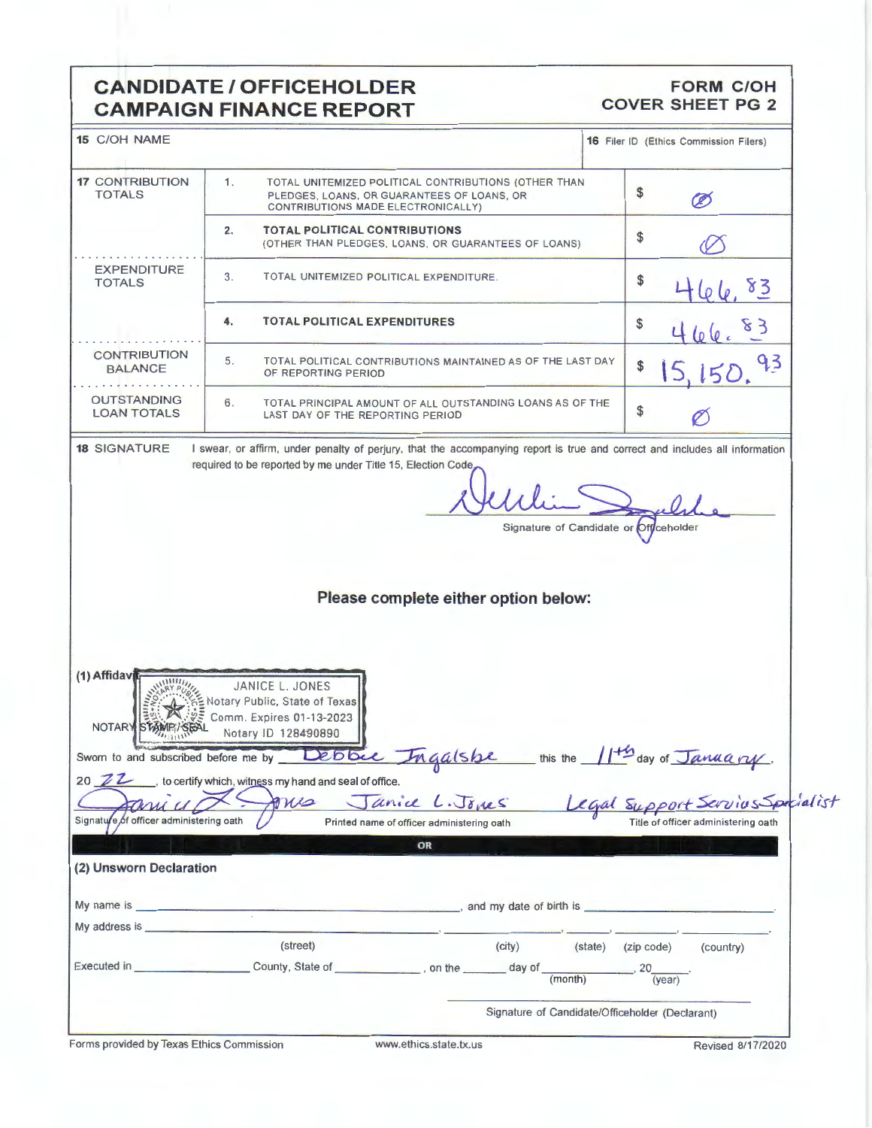## **CANDIDATE / OFFICEHOLDER CAMPAIGN FINANCE REPORT**

### **FORM C/OH COVER SHEET PG 2**

| 15 C/OH NAME                                                                                                                                                                                                                   |                                                                                                                                                                                                                                                                                                                                               | <b>16</b> Filer ID (Ethics Commission Filers)                           |
|--------------------------------------------------------------------------------------------------------------------------------------------------------------------------------------------------------------------------------|-----------------------------------------------------------------------------------------------------------------------------------------------------------------------------------------------------------------------------------------------------------------------------------------------------------------------------------------------|-------------------------------------------------------------------------|
| <b>17 CONTRIBUTION</b><br><b>TOTALS</b>                                                                                                                                                                                        | 1 <sub>1</sub><br>TOTAL UNITEMIZED POLITICAL CONTRIBUTIONS (OTHER THAN<br>PLEDGES, LOANS, OR GUARANTEES OF LOANS, OR<br>CONTRIBUTIONS MADE ELECTRONICALLY)                                                                                                                                                                                    | \$<br>Ø                                                                 |
|                                                                                                                                                                                                                                | <b>TOTAL POLITICAL CONTRIBUTIONS</b><br>2.<br>(OTHER THAN PLEDGES, LOANS, OR GUARANTEES OF LOANS)                                                                                                                                                                                                                                             | \$                                                                      |
| <b>EXPENDITURE</b><br><b>TOTALS</b>                                                                                                                                                                                            | 3.<br>TOTAL UNITEMIZED POLITICAL EXPENDITURE.                                                                                                                                                                                                                                                                                                 | \$<br>83                                                                |
|                                                                                                                                                                                                                                | <b>TOTAL POLITICAL EXPENDITURES</b><br>4.                                                                                                                                                                                                                                                                                                     | \$                                                                      |
| <b>CONTRIBUTION</b><br><b>BALANCE</b>                                                                                                                                                                                          | 5.<br>TOTAL POLITICAL CONTRIBUTIONS MAINTAINED AS OF THE LAST DAY<br>OF REPORTING PERIOD                                                                                                                                                                                                                                                      | 93<br>\$                                                                |
| <b>OUTSTANDING</b><br><b>LOAN TOTALS</b>                                                                                                                                                                                       | 6.<br>TOTAL PRINCIPAL AMOUNT OF ALL OUTSTANDING LOANS AS OF THE<br>LAST DAY OF THE REPORTING PERIOD                                                                                                                                                                                                                                           | \$                                                                      |
|                                                                                                                                                                                                                                |                                                                                                                                                                                                                                                                                                                                               | Signature of Candidate or Officeholder                                  |
|                                                                                                                                                                                                                                | Please complete either option below:                                                                                                                                                                                                                                                                                                          |                                                                         |
| (1) Affidav<br>NOTAR)<br>Signature of officer administering oath                                                                                                                                                               | JANICE L. JONES<br>Notary Public, State of Texas<br>Comm. Expires 01-13-2023<br>Notary ID 128490890<br>Sworn to and subscribed before me by Debbie Ingalshe this the 11th day of January<br>20 <b>Z</b> it o certify which, witness my hand and seal of office.<br>Janice L. Jones<br>one<br>Printed name of officer administering oath<br>OR | Legal Support Servius Specialist<br>Title of officer administering oath |
| (2) Unsworn Declaration                                                                                                                                                                                                        |                                                                                                                                                                                                                                                                                                                                               |                                                                         |
| My address is services and the services of the services of the services of the services of the services of the services of the services of the services of the services of the services of the services of the services of the | $\sim$ and my date of birth is $\sim$                                                                                                                                                                                                                                                                                                         |                                                                         |
|                                                                                                                                                                                                                                | (street)<br>(city)                                                                                                                                                                                                                                                                                                                            | (state) (zip code)<br>(country)                                         |
|                                                                                                                                                                                                                                | Executed in __________________________County, State of _____________, on the ________ day of<br>(month)                                                                                                                                                                                                                                       | $\overline{\langle \text{year} \rangle}$                                |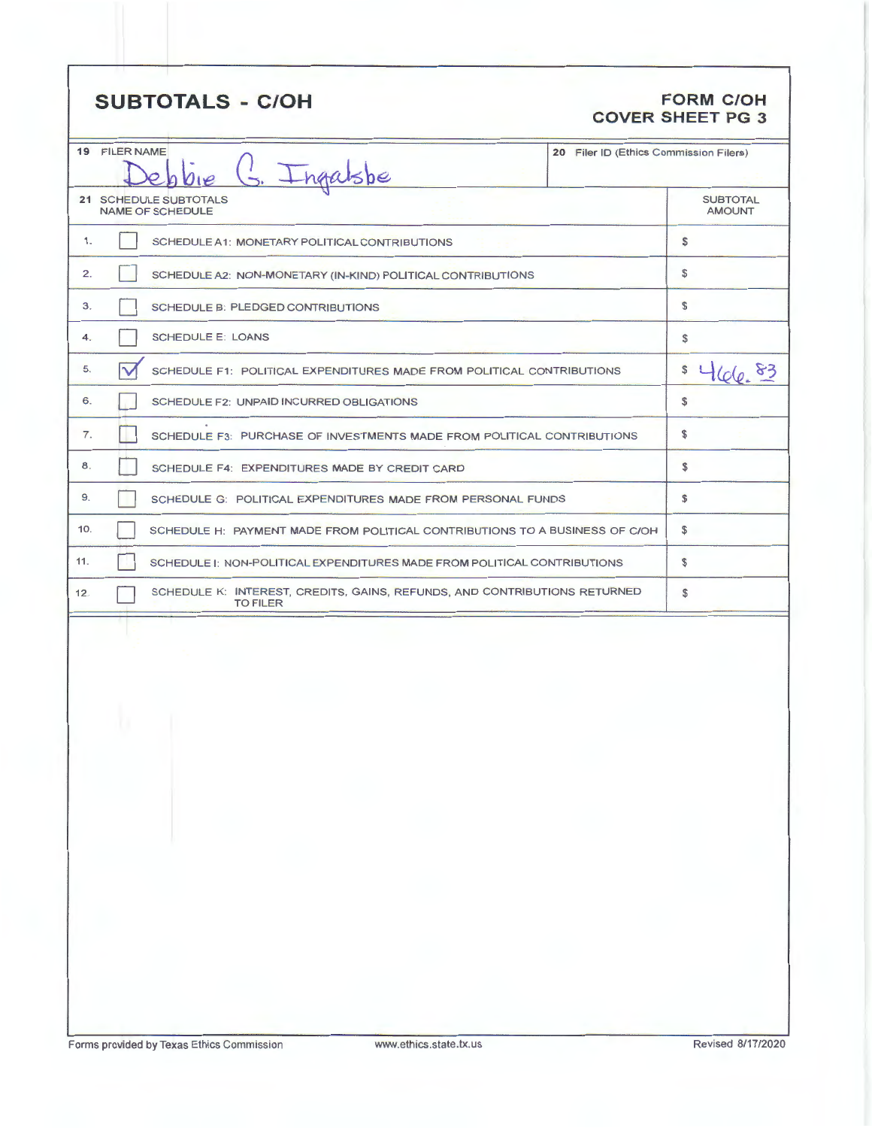# **SUBTOTALS - C/OH FORM C/OH**

# **COVER SHEET PG 3**

|                                                  |                                                                                              | 20 Filer ID (Ethics Commission Filers) |                                  |
|--------------------------------------------------|----------------------------------------------------------------------------------------------|----------------------------------------|----------------------------------|
| <b>19 FILER NAME</b><br>G. Ingalsbe              |                                                                                              |                                        |                                  |
| 21 SCHEDULE SUBTOTALS<br><b>NAME OF SCHEDULE</b> |                                                                                              |                                        | <b>SUBTOTAL</b><br><b>AMOUNT</b> |
| 1.                                               | SCHEDULE A1: MONETARY POLITICAL CONTRIBUTIONS                                                |                                        | \$                               |
| 2 <sub>1</sub>                                   | SCHEDULE A2: NON-MONETARY (IN-KIND) POLITICAL CONTRIBUTIONS                                  |                                        | \$                               |
| 3.                                               | SCHEDULE B: PLEDGED CONTRIBUTIONS                                                            |                                        | \$                               |
| 4.                                               | <b>SCHEDULE E: LOANS</b>                                                                     |                                        | \$                               |
| 5.                                               | SCHEDULE F1: POLITICAL EXPENDITURES MADE FROM POLITICAL CONTRIBUTIONS                        |                                        | \$<br>$t(c_6, 83)$               |
| 6.                                               | SCHEDULE F2: UNPAID INCURRED OBLIGATIONS                                                     |                                        | \$                               |
| 7.                                               | SCHEDULE F3: PURCHASE OF INVESTMENTS MADE FROM POLITICAL CONTRIBUTIONS                       |                                        | \$                               |
| 8.                                               | SCHEDULE F4: EXPENDITURES MADE BY CREDIT CARD                                                |                                        | \$                               |
| 9.                                               | SCHEDULE G: POLITICAL EXPENDITURES MADE FROM PERSONAL FUNDS                                  |                                        | \$                               |
| 10.                                              | SCHEDULE H: PAYMENT MADE FROM POLITICAL CONTRIBUTIONS TO A BUSINESS OF C/OH                  |                                        | \$                               |
| 11.                                              | SCHEDULE I: NON-POLITICAL EXPENDITURES MADE FROM POLITICAL CONTRIBUTIONS                     |                                        | \$                               |
| 12.                                              | SCHEDULE K: INTEREST, CREDITS, GAINS, REFUNDS, AND CONTRIBUTIONS RETURNED<br><b>TO FILER</b> |                                        | \$                               |
|                                                  |                                                                                              |                                        |                                  |